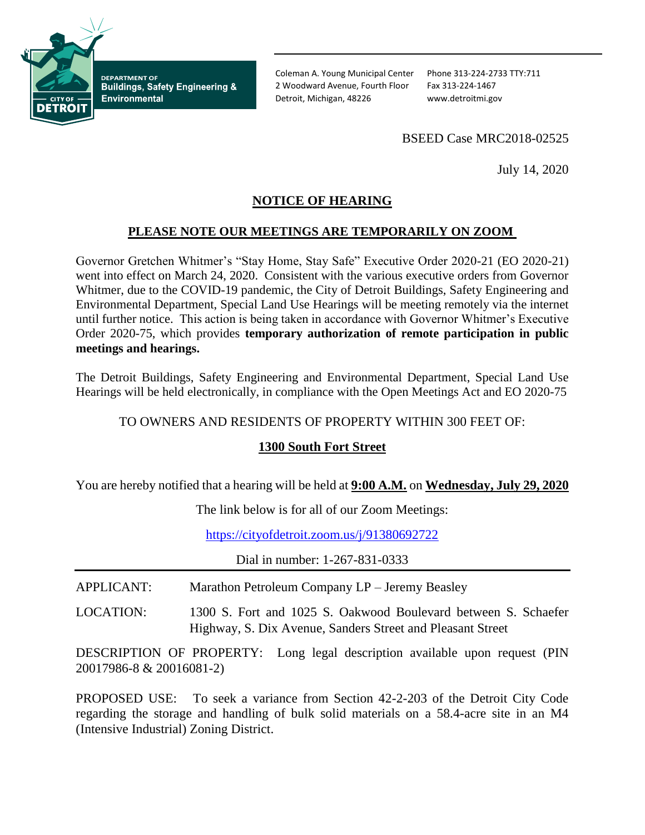

**DEPARTMENT OF Buildings, Safety Engineering & Environmental** 

Coleman A. Young Municipal Center Phone 313-224-2733 TTY:711 2 Woodward Avenue, Fourth Floor Fax 313-224-1467 Detroit, Michigan, 48226 www.detroitmi.gov

## BSEED Case MRC2018-02525

July 14, 2020

# **NOTICE OF HEARING**

#### **PLEASE NOTE OUR MEETINGS ARE TEMPORARILY ON ZOOM**

Governor Gretchen Whitmer's "Stay Home, Stay Safe" Executive Order 2020-21 (EO 2020-21) went into effect on March 24, 2020. Consistent with the various executive orders from Governor Whitmer, due to the COVID-19 pandemic, the City of Detroit Buildings, Safety Engineering and Environmental Department, Special Land Use Hearings will be meeting remotely via the internet until further notice. This action is being taken in accordance with Governor Whitmer's Executive Order 2020-75, which provides **temporary authorization of remote participation in public meetings and hearings.**

The Detroit Buildings, Safety Engineering and Environmental Department, Special Land Use Hearings will be held electronically, in compliance with the Open Meetings Act and EO 2020-75

TO OWNERS AND RESIDENTS OF PROPERTY WITHIN 300 FEET OF:

## **1300 South Fort Street**

You are hereby notified that a hearing will be held at **9:00 A.M.** on **Wednesday, July 29, 2020**

The link below is for all of our Zoom Meetings:

<https://cityofdetroit.zoom.us/j/91380692722>

Dial in number: 1-267-831-0333

APPLICANT: Marathon Petroleum Company LP – Jeremy Beasley

LOCATION: 1300 S. Fort and 1025 S. Oakwood Boulevard between S. Schaefer Highway, S. Dix Avenue, Sanders Street and Pleasant Street

DESCRIPTION OF PROPERTY: Long legal description available upon request (PIN 20017986-8 & 20016081-2)

PROPOSED USE: To seek a variance from Section 42-2-203 of the Detroit City Code regarding the storage and handling of bulk solid materials on a 58.4-acre site in an M4 (Intensive Industrial) Zoning District.